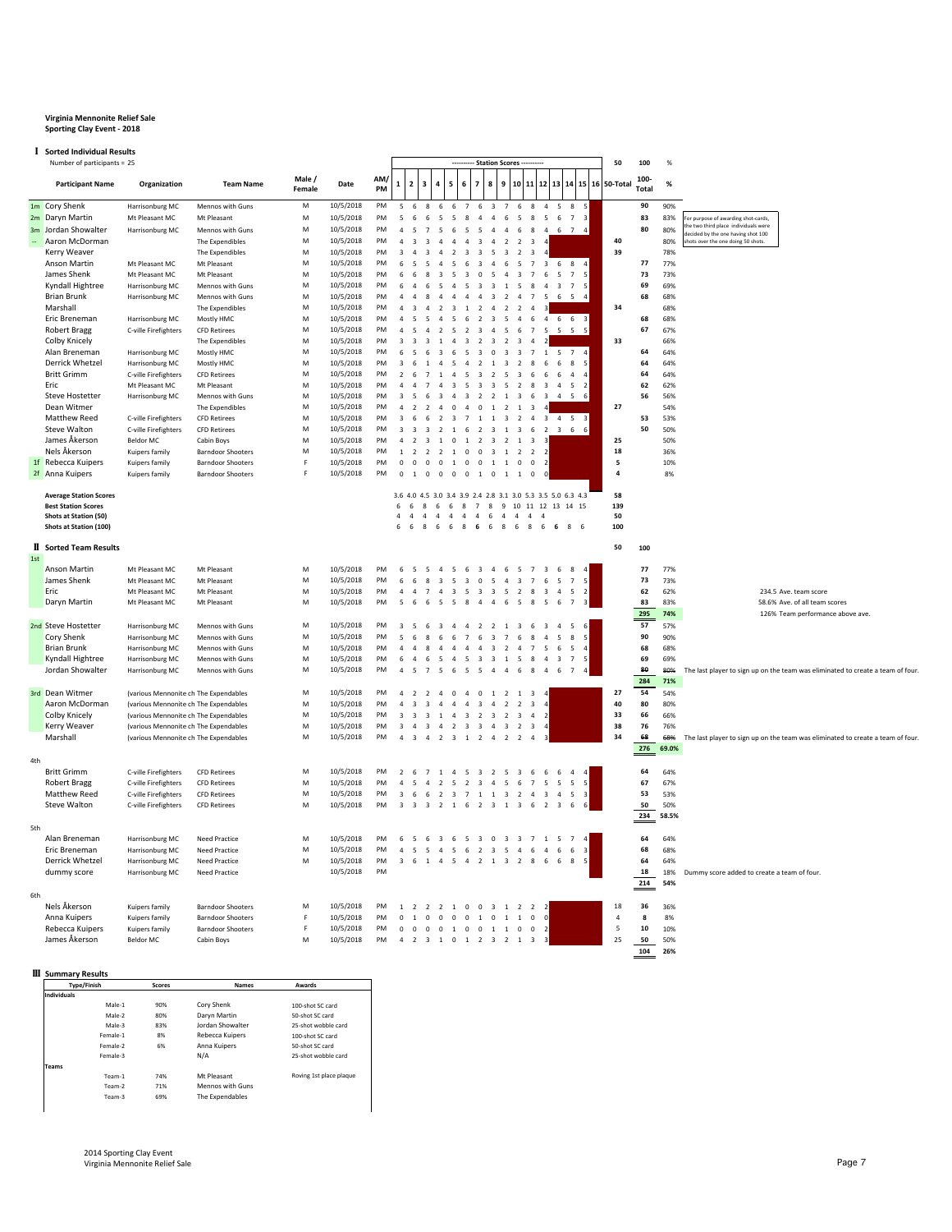## **Virginia Mennonite Relief Sale Sporting Clay Event - 2018**

## I **Sorted Individual Results**

|        | <b>I</b> Sorted Individual Results    |                                       |                                                      |                 |                        |           |                          |                                                    |                                            |                                                  |                                                                      |                                                    |                          |                                                                      |                                                    |                                                             |                          |                                        |                      |            |                                                                                 |
|--------|---------------------------------------|---------------------------------------|------------------------------------------------------|-----------------|------------------------|-----------|--------------------------|----------------------------------------------------|--------------------------------------------|--------------------------------------------------|----------------------------------------------------------------------|----------------------------------------------------|--------------------------|----------------------------------------------------------------------|----------------------------------------------------|-------------------------------------------------------------|--------------------------|----------------------------------------|----------------------|------------|---------------------------------------------------------------------------------|
|        | Number of participants = 25           |                                       |                                                      |                 |                        |           |                          |                                                    |                                            |                                                  |                                                                      | <b>Station Scores</b>                              |                          |                                                                      |                                                    |                                                             |                          | 50                                     | 100                  | %          |                                                                                 |
|        | <b>Participant Name</b>               | Organization                          | <b>Team Name</b>                                     | Male/<br>Female | Date                   | AM/<br>PM | $\mathbf{1}$             | $\overline{\mathbf{2}}$<br>3                       | 4                                          | 5<br>6                                           | 7                                                                    | 8                                                  | 9                        | 10                                                                   |                                                    |                                                             |                          | 11   12   13   14   15   16   50-Total | 100-<br><b>Total</b> | %          |                                                                                 |
|        | 1m Cory Shenk                         | Harrisonburg MC                       | Mennos with Guns                                     | M               | 10/5/2018              | <b>PM</b> | $\overline{5}$           | 6                                                  | 8<br>6                                     | 6                                                | $\overline{7}$<br>6                                                  | $\overline{\mathbf{3}}$                            | $\overline{7}$           | 8<br>- 6                                                             |                                                    | $4\quad 5\quad 8$                                           |                          |                                        | 90                   | 90%        |                                                                                 |
|        | 2m Daryn Martin                       | Mt Pleasant MC                        | Mt Pleasant                                          | M               | 10/5/2018              | PM        | $\overline{5}$           | 6                                                  | 6<br>5                                     | -5                                               | 8<br>$\overline{4}$                                                  | $\overline{4}$                                     | 6                        | 5<br>8                                                               | 5                                                  | 6<br>$7^{\circ}$                                            | $\overline{3}$           |                                        | 83                   | 83%        | or purpose of awarding shot-cards,                                              |
|        | 3m Jordan Showalter                   | Harrisonburg MC                       | Mennos with Guns                                     | M               | 10/5/2018              | PM        |                          | $\overline{7}$<br>5                                | 5                                          | 6                                                | 5<br>5                                                               | $\overline{4}$                                     | $\overline{4}$           | 6<br>8                                                               |                                                    | $4\quad 6\quad 7$                                           |                          |                                        | 80                   | 80%        | he two third place individuals were<br>ecided by the one having shot 100        |
| $\sim$ | Aaron McDorman                        |                                       | The Expendibles                                      | M               | 10/5/2018              | PM        | $\Delta$                 | $\overline{\mathbf{a}}$<br>$\overline{3}$          | $\overline{A}$                             | $\overline{a}$                                   | $\overline{3}$<br>$\mathbf{A}$                                       | $\overline{a}$                                     | $\overline{z}$           | $\overline{z}$<br>$\overline{3}$                                     | $\overline{4}$                                     |                                                             |                          | 40                                     |                      | 80%        | hots over the one doing 50 shots.                                               |
|        | Kerry Weaver                          |                                       | The Expendibles                                      | M               | 10/5/2018              | PM        | $\overline{\mathbf{a}}$  |                                                    | $\mathbf{3}$<br>$\overline{a}$             | $\overline{z}$                                   | $\overline{3}$<br>$\overline{3}$                                     | -5                                                 | $\mathbf{R}$             | $\overline{z}$<br>$\overline{\mathbf{3}}$                            |                                                    |                                                             |                          | 39                                     |                      | 78%        |                                                                                 |
|        | Anson Martin                          | Mt Pleasant MC                        | Mt Pleasant                                          | M               | 10/5/2018              | PM        | 6                        | 5                                                  | $\overline{\phantom{a}}$<br>$\overline{A}$ | $\overline{\phantom{a}}$                         | $\overline{3}$                                                       | $\Delta$                                           | 6                        | 5<br>$\overline{7}$                                                  |                                                    | $3\quad 6\quad 8$                                           |                          |                                        | 77                   | 77%        |                                                                                 |
|        | James Shenk                           | Mt Pleasant MC                        | Mt Pleasant                                          | M               | 10/5/2018              | PM        | 6                        | 6<br>8                                             | $\overline{3}$                             | 5                                                | $\overline{0}$                                                       | 5                                                  | $\overline{a}$           | $\overline{\mathbf{3}}$<br>$\overline{7}$                            | 6                                                  | 5<br>$\overline{7}$                                         | 5                        |                                        | 73                   | 73%        |                                                                                 |
|        | Kyndall Hightree                      | Harrisonburg MC                       | Mennos with Guns                                     | M               | 10/5/2018              | PM        |                          |                                                    |                                            |                                                  | $\overline{\mathbf{3}}$                                              | 3                                                  | $\mathbf{1}$             | 5                                                                    | $\overline{a}$                                     | $\overline{\mathbf{3}}$<br>$\overline{7}$                   |                          |                                        | 69                   | 69%        |                                                                                 |
|        | <b>Brian Brunk</b>                    | Harrisonburg MC                       | Mennos with Guns                                     | M               | 10/5/2018              | PM        |                          |                                                    |                                            |                                                  |                                                                      |                                                    | $\overline{2}$           | $\overline{4}$                                                       | -5                                                 | 6 5                                                         |                          |                                        | 68                   | 68%        |                                                                                 |
|        | Marshall                              |                                       | The Expendibles                                      | M               | 10/5/2018              | PM        |                          |                                                    |                                            |                                                  |                                                                      |                                                    |                          | $\overline{2}$                                                       |                                                    |                                                             |                          | 34                                     |                      | 68%        |                                                                                 |
|        | Eric Breneman                         | Harrisonburg MC                       | Mostly HMC                                           | M               | 10/5/2018              | PM        |                          | 5                                                  |                                            |                                                  | $\overline{z}$                                                       | $\overline{3}$                                     | $\overline{\phantom{a}}$ | $\overline{a}$<br>-6                                                 |                                                    | 4 6 6 3                                                     |                          |                                        | 68                   | 68%        |                                                                                 |
|        | <b>Robert Bragg</b>                   | C-ville Firefighters                  | <b>CFD Retirees</b>                                  | M               | 10/5/2018              | PM        |                          |                                                    | $\overline{2}$                             | 5                                                | $\overline{\mathbf{3}}$<br>$\overline{2}$                            | $\overline{4}$                                     | $\overline{5}$           | 6                                                                    | 7 5                                                | 5 5                                                         |                          |                                        | 67                   | 67%        |                                                                                 |
|        | Colby Knicely                         |                                       | The Expendibles                                      | M               | 10/5/2018              | PM        | $\overline{3}$           |                                                    | $\overline{3}$                             | $\overline{a}$                                   | $\overline{2}$<br>$\overline{\mathbf{3}}$                            | $\overline{\mathbf{3}}$                            | $\overline{2}$           | $\overline{\mathbf{3}}$<br>$\overline{A}$                            |                                                    |                                                             |                          | 33                                     |                      | 66%        |                                                                                 |
|        | Alan Breneman                         | Harrisonburg MC                       | Mostly HMC                                           | M               | 10/5/2018              | PM        | 6                        | 6                                                  | 3                                          | 6                                                | $\overline{\mathbf{3}}$<br>-5                                        | $\overline{0}$                                     | $\overline{\mathbf{3}}$  | 3<br>$\overline{7}$                                                  | <sup>1</sup>                                       | 5<br>$\overline{7}$                                         |                          |                                        | 64                   | 64%        |                                                                                 |
|        | Derrick Whetzel<br><b>Britt Grimm</b> | Harrisonburg MC                       | Mostly HMC                                           | M               | 10/5/2018              | PM        | $\overline{3}$           | $\overline{1}$                                     | $\overline{a}$                             | -5                                               | $\mathbf{A}$<br>$\overline{2}$                                       | $\overline{1}$                                     | $\overline{\mathbf{3}}$  | $\overline{z}$<br>$\mathbf{g}$                                       | - 6                                                | 6<br>8                                                      |                          |                                        | 64<br>64             | 64%<br>64% |                                                                                 |
|        | Fric.                                 | C-ville Firefighters                  | <b>CFD Retirees</b>                                  | M               | 10/5/2018              | PM        | $\overline{2}$           | $\overline{7}$<br>$\overline{7}$                   | 1<br>$\overline{a}$                        | $\overline{a}$                                   | -5<br>$\overline{\mathbf{3}}$<br>-5                                  | 2                                                  | 5                        | $\overline{\mathbf{3}}$<br>6<br>$\mathbf{R}$                         | 6                                                  | 6<br>$\overline{4}$                                         |                          |                                        |                      |            |                                                                                 |
|        |                                       | Mt Pleasant MC                        | Mt Pleasant                                          | M               | 10/5/2018              | PM<br>PM  | 3                        |                                                    | 6<br>$\overline{\mathbf{3}}$               | $\overline{\mathbf{3}}$<br>$\overline{4}$        | $\overline{\mathbf{3}}$<br>$\overline{2}$<br>$\overline{\mathbf{3}}$ | $\overline{\mathbf{3}}$                            | 5<br>$\mathbf{1}$        | $\overline{2}$<br>6                                                  | $\overline{\mathbf{3}}$<br>$\overline{\mathbf{3}}$ | $\overline{4}$<br>5<br>-5                                   |                          |                                        | 62                   | 62%        |                                                                                 |
|        | Steve Hostetter<br>Dean Witmer        | Harrisonburg MC                       | Mennos with Guns<br>The Expendibles                  | M<br>M          | 10/5/2018<br>10/5/2018 | PM        |                          |                                                    | $\overline{2}$<br>$\overline{4}$           | $\mathbf 0$                                      | $\overline{4}$<br>$\,0\,$                                            | $\overline{2}$<br>$1\,$                            | $\overline{2}$           | $\overline{\mathbf{3}}$<br>$\overline{1}$<br>$\overline{\mathbf{3}}$ |                                                    |                                                             |                          | 27                                     | 56                   | 56%<br>54% |                                                                                 |
|        | Matthew Reed                          | C-ville Firefighters                  | <b>CFD Retirees</b>                                  | M               | 10/5/2018              | PM        |                          |                                                    | $\overline{2}$<br>6                        | $\overline{\mathbf{3}}$                          | $\overline{7}$<br>$\overline{1}$                                     | <sup>1</sup>                                       | $\overline{\mathbf{3}}$  | $\overline{2}$<br>$\overline{4}$                                     |                                                    | 3 4 5                                                       |                          |                                        | 53                   | 53%        |                                                                                 |
|        | Steve Walton                          | C-ville Firefighters                  | <b>CFD Retirees</b>                                  | M               | 10/5/2018              | PM        |                          |                                                    | $\overline{\mathbf{3}}$<br>$\overline{2}$  | $\overline{1}$                                   | 6<br>$\overline{2}$                                                  | $\overline{\mathbf{3}}$                            | $\mathbf{1}$             | $\overline{\mathbf{3}}$                                              | 6 2                                                | $3\quad 6\quad 6$                                           |                          |                                        | 50                   | 50%        |                                                                                 |
|        | James Åkerson                         | <b>Beldor MC</b>                      | Cabin Boys                                           | M               | 10/5/2018              | PM        |                          | $\overline{z}$                                     | $\overline{3}$<br>$\overline{1}$           | $\overline{0}$                                   | $1\quad 2$                                                           | $\overline{\mathbf{3}}$                            | $\overline{2}$           | 1<br>$\overline{3}$                                                  | - 3                                                |                                                             |                          | 25                                     |                      | 50%        |                                                                                 |
|        | Nels Åkerson                          | Kuipers family                        | <b>Barndoor Shooters</b>                             | M               | 10/5/2018              | PM        | $\mathbf{1}$             | $\overline{2}$<br>$\overline{\phantom{a}}$         | $\overline{2}$                             | $\overline{1}$                                   | $0 \t 0 \t 3$                                                        |                                                    | $\overline{1}$           | $\overline{2}$                                                       | 2 <sub>2</sub>                                     |                                                             |                          | ${\bf 18}$                             |                      | 36%        |                                                                                 |
|        | 1f Rebecca Kuipers                    | Kuipers family                        | <b>Barndoor Shooters</b>                             | F               | 10/5/2018              | PM        | $\Omega$                 | $\Omega$<br>$\Omega$                               |                                            | 0 1 0 0 1 1 0                                    |                                                                      |                                                    |                          | $\Omega$                                                             | $\overline{2}$                                     |                                                             |                          | 5                                      |                      | 10%        |                                                                                 |
|        | 2f Anna Kuipers                       | Kuipers family                        | <b>Barndoor Shooters</b>                             | F               | 10/5/2018              | PM        | $\Omega$                 | $\overline{1}$<br>$\overline{0}$                   | $\overline{0}$                             | $\overline{0}$                                   | $0 \quad 1 \quad 0$                                                  |                                                    | 1 1                      | $\Omega$                                                             |                                                    |                                                             |                          | $\overline{4}$                         |                      | 8%         |                                                                                 |
|        |                                       |                                       |                                                      |                 |                        |           |                          |                                                    |                                            |                                                  |                                                                      |                                                    |                          |                                                                      |                                                    |                                                             |                          |                                        |                      |            |                                                                                 |
|        | <b>Average Station Scores</b>         |                                       |                                                      |                 |                        |           |                          |                                                    |                                            |                                                  |                                                                      |                                                    |                          |                                                                      |                                                    | 3.6 4.0 4.5 3.0 3.4 3.9 2.4 2.8 3.1 3.0 5.3 3.5 5.0 6.3 4.3 |                          | 58                                     |                      |            |                                                                                 |
|        | <b>Best Station Scores</b>            |                                       |                                                      |                 |                        |           | 6                        | -6<br>$\mathbf{g}$                                 | -6                                         |                                                  |                                                                      |                                                    |                          |                                                                      |                                                    | 6 8 7 8 9 10 11 12 13 14 15                                 |                          | 139                                    |                      |            |                                                                                 |
|        | Shots at Station (50)                 |                                       |                                                      |                 |                        |           | $\sqrt{4}$               | $\overline{4}$<br>$\overline{a}$                   | $\overline{4}$                             | $\overline{a}$                                   | $4\quad 4\quad 6$                                                    |                                                    |                          | $4 \quad 4 \quad 4 \quad 4$                                          |                                                    |                                                             |                          | 50                                     |                      |            |                                                                                 |
|        | Shots at Station (100)                |                                       |                                                      |                 |                        |           |                          | 6<br>8                                             | 6                                          | 6                                                | 8 6 6                                                                |                                                    | 8<br>6                   | 8                                                                    | 6                                                  | 6<br>8                                                      | 6                        | 100                                    |                      |            |                                                                                 |
|        | <b>II</b> Sorted Team Results         |                                       |                                                      |                 |                        |           |                          |                                                    |                                            |                                                  |                                                                      |                                                    |                          |                                                                      |                                                    |                                                             |                          | 50                                     | 100                  |            |                                                                                 |
| 1st    |                                       |                                       |                                                      |                 |                        |           |                          |                                                    |                                            |                                                  |                                                                      |                                                    |                          |                                                                      |                                                    |                                                             |                          |                                        |                      |            |                                                                                 |
|        | Anson Martin                          | Mt Pleasant MC                        | Mt Pleasant                                          | M               | 10/5/2018              | PM        | 6                        | 5                                                  | $\overline{4}$<br>5                        | $\overline{5}$                                   | 6<br>$\overline{\mathbf{3}}$                                         | $\overline{4}$                                     | 6                        | 5<br>$\overline{7}$                                                  | $\overline{\mathbf{3}}$                            | $6\overline{6}$<br>8                                        |                          |                                        | 77                   | 77%        |                                                                                 |
|        | James Shenk                           | Mt Pleasant MC                        | Mt Pleasant                                          | M               | 10/5/2018              | PM        |                          |                                                    | $\overline{3}$<br>$\mathbf{R}$             | 5                                                | $\Omega$<br>$\overline{3}$                                           | $\overline{\phantom{a}}$                           | $\overline{4}$           | $\overline{3}$<br>$\overline{7}$                                     | 6                                                  | $\overline{5}$<br>$\overline{7}$                            | 5                        |                                        | 73                   | 73%        |                                                                                 |
|        | Eric                                  | Mt Pleasant MC                        | Mt Pleasant                                          | M               | 10/5/2018              | PM        |                          | $\overline{7}$                                     | $\overline{a}$                             | $\overline{\mathbf{3}}$                          | $\overline{\mathbf{3}}$<br>-5                                        | $\overline{\mathbf{3}}$                            | 5                        | $\overline{2}$<br>$\mathbf{R}$                                       | $\overline{\mathbf{3}}$                            | $\overline{\phantom{a}}$<br>$\overline{4}$                  |                          |                                        | 62                   | 62%        | 234.5 Ave. team score                                                           |
|        | Daryn Martin                          | Mt Pleasant MC                        | Mt Pleasant                                          | M               | 10/5/2018              | <b>PM</b> | $\overline{\phantom{a}}$ | 6                                                  | 6<br>5                                     | $\overline{5}$                                   | $\mathbf{R}$<br>$\Delta$                                             | $\Lambda$                                          | 6                        | $\overline{5}$<br>$\mathbf{g}$                                       | 5                                                  | 6<br>$\overline{7}$                                         |                          |                                        | 83                   | 83%        | 58.6% Ave. of all team scores                                                   |
|        |                                       |                                       |                                                      |                 |                        |           |                          |                                                    |                                            |                                                  |                                                                      |                                                    |                          |                                                                      |                                                    |                                                             |                          |                                        | 295                  | 74%        | 126% Team performance above ave.                                                |
|        | 2nd Steve Hostetter                   | Harrisonburg MC                       | Mennos with Guns                                     | M               | 10/5/2018              | PM        |                          | 6                                                  |                                            |                                                  | $\overline{2}$                                                       | $\overline{2}$                                     | <sup>1</sup>             | $\overline{\mathbf{3}}$                                              | $\overline{\mathbf{3}}$                            | $\overline{4}$<br>5                                         |                          |                                        | 57                   | 57%        |                                                                                 |
|        | Cory Shenk                            | Harrisonburg MC                       | Mennos with Guns                                     | M               | 10/5/2018              | PM        |                          | 6                                                  | $\mathbf{R}$<br>6                          | 6                                                | $\overline{7}$<br>6                                                  | $\overline{3}$                                     | $\overline{7}$           | 6<br>$\mathbf{R}$                                                    | $\overline{a}$                                     | $\overline{5}$<br>$\mathbf{R}$                              | 5                        |                                        | 90                   | 90%        |                                                                                 |
|        | <b>Brian Brunk</b>                    | Harrisonburg MC                       | Mennos with Guns                                     | M               | 10/5/2018              | PM        |                          |                                                    | 8<br>$\overline{a}$                        | $\overline{4}$                                   | $\overline{4}$<br>$\overline{a}$                                     | $\overline{\mathbf{3}}$                            | $\overline{2}$           | $\overline{7}$<br>$\overline{4}$                                     | -5                                                 | 5<br>6                                                      | $\overline{a}$           |                                        | 68                   | 68%        |                                                                                 |
|        | Kyndall Hightree                      | Harrisonburg MC                       | Mennos with Guns                                     | M               | 10/5/2018              | PM        | 6                        | $\overline{4}$                                     | 5<br>6                                     | $\overline{a}$                                   | $\overline{5}$<br>$\overline{3}$                                     | $\overline{3}$                                     | $\overline{1}$           | 5 <sup>5</sup><br>$\mathbf{g}$                                       | $\overline{a}$                                     | $\overline{\mathbf{3}}$<br>$\overline{7}$                   | $\overline{\phantom{a}}$ |                                        | 69                   | 69%        |                                                                                 |
|        | Jordan Showalter                      | Harrisonburg MC                       | Mennos with Guns                                     | M               | 10/5/2018              | PM        | $\Delta$                 | 5                                                  | $\overline{7}$<br>-5                       | -6                                               | -5<br>-5                                                             | $\overline{a}$                                     | $\overline{4}$           | - 6<br>$\mathbf{R}$                                                  | $\overline{a}$                                     | -6<br>$\overline{7}$                                        |                          |                                        | 80                   | 80%        | The last player to sign up on the team was eliminated to create a team of four  |
|        |                                       |                                       |                                                      |                 |                        |           |                          |                                                    |                                            |                                                  |                                                                      |                                                    |                          |                                                                      |                                                    |                                                             |                          |                                        | 284                  | 71%        |                                                                                 |
|        | 3rd Dean Witmer                       | (various Mennonite ch The Expendables |                                                      | M               | 10/5/2018              | PM        |                          | $\overline{2}$                                     | $\overline{2}$                             | 4 0                                              | $\overline{4}$<br>$\mathbf{0}$                                       |                                                    |                          | $1 \quad 2 \quad 1 \quad 3$                                          |                                                    |                                                             |                          | 27                                     | 54                   | 54%        |                                                                                 |
|        | Aaron McDorman                        | (various Mennonite ch The Expendables |                                                      | M               | 10/5/2018              | PM        |                          | $\overline{\mathbf{3}}$                            | $\overline{\mathbf{3}}$<br>$\overline{4}$  | $\overline{4}$                                   | $\overline{4}$<br>$\overline{\mathbf{3}}$                            | $\overline{4}$                                     | $\overline{2}$           | $\overline{2}$<br>$\overline{\mathbf{3}}$                            | $\overline{4}$                                     |                                                             |                          | 40                                     | 80                   | 80%        |                                                                                 |
|        | Colby Knicely                         | (various Mennonite ch The Expendables |                                                      | M               | 10/5/2018              | PM        | $\overline{3}$           | $\overline{3}$                                     | $\overline{\mathbf{3}}$<br><sup>1</sup>    | $\overline{4}$                                   | $\overline{\mathbf{3}}$<br>$\overline{2}$                            | $\overline{\mathbf{3}}$                            | $\overline{2}$           | $\overline{\mathbf{3}}$<br>$\overline{4}$                            | $\overline{2}$                                     |                                                             |                          | 33                                     | 66                   | 66%        |                                                                                 |
|        | Kerry Weaver                          | (various Mennonite ch The Expendables |                                                      | M               | 10/5/2018              | PM        | $\overline{3}$           | $\overline{4}$<br>$\overline{\mathbf{3}}$          | $\overline{4}$                             | $\overline{2}$                                   | $\overline{\mathbf{3}}$<br>$\overline{3}$                            | $\overline{4}$                                     | $\overline{\mathbf{3}}$  | $\overline{2}$<br>$\overline{\mathbf{3}}$                            | 4                                                  |                                                             |                          | 38                                     | 76                   | 76%        |                                                                                 |
|        | Marshall                              | (various Mennonite ch The Expendables |                                                      | M               | 10/5/2018              | PM        | $\Delta$                 | $\overline{3}$<br>$\overline{a}$                   | $\overline{2}$                             | $\overline{3}$                                   |                                                                      | $1 \quad 2 \quad 4 \quad 2$                        |                          | $\overline{2}$                                                       |                                                    |                                                             |                          | 34                                     | 68                   | 68%        | The last player to sign up on the team was eliminated to create a team of four. |
|        |                                       |                                       |                                                      |                 |                        |           |                          |                                                    |                                            |                                                  |                                                                      |                                                    |                          |                                                                      |                                                    |                                                             |                          |                                        | 276                  | 69.0%      |                                                                                 |
| 4th    |                                       |                                       |                                                      |                 |                        |           |                          |                                                    |                                            |                                                  |                                                                      |                                                    |                          |                                                                      |                                                    |                                                             |                          |                                        |                      |            |                                                                                 |
|        | <b>Britt Grimm</b>                    | C-ville Firefighters                  | <b>CFD Retirees</b>                                  | M               | 10/5/2018              | PM        | $\overline{2}$           | 6<br>$\overline{7}$                                | $\mathbf{1}$                               | 4 <sub>5</sub>                                   |                                                                      | 3 2 5 3 6                                          |                          |                                                                      | 6                                                  | 6<br>$\overline{4}$                                         |                          |                                        | 64                   | 64%        |                                                                                 |
|        | <b>Robert Bragg</b>                   | C-ville Firefighters                  | <b>CFD Retirees</b>                                  | M               | 10/5/2018              | PM        |                          | 5                                                  | $\overline{2}$<br>$\overline{a}$           | -5                                               | $\overline{2}$<br>$\overline{\mathbf{3}}$                            | $\overline{4}$                                     | $5\overline{ }$          | 6<br>$\overline{7}$                                                  | $5\overline{5}$                                    | $\overline{5}$<br>$5\overline{5}$                           | 5                        |                                        | 67                   | 67%        |                                                                                 |
|        | Matthew Reed                          | C-ville Firefighters                  | <b>CED Retirees</b>                                  | M               | 10/5/2018              | PM        | $\overline{3}$           | 6<br>6                                             | $\overline{2}$                             |                                                  |                                                                      |                                                    |                          |                                                                      |                                                    | 3 7 1 1 3 2 4 3 4 5                                         | $\overline{3}$           |                                        | 53                   | 53%        |                                                                                 |
|        | Steve Walton                          | C-ville Firefighters                  | <b>CFD Retirees</b>                                  | M               | 10/5/2018              | PM        | $\overline{3}$           | $\overline{\mathbf{3}}$<br>$\overline{\mathbf{3}}$ | $\overline{2}$                             |                                                  |                                                                      |                                                    |                          |                                                                      | 1 6 2 3 1 3 6 2 3                                  | 6                                                           |                          |                                        | 50                   | 50%        |                                                                                 |
|        |                                       |                                       |                                                      |                 |                        |           |                          |                                                    |                                            |                                                  |                                                                      |                                                    |                          |                                                                      |                                                    |                                                             |                          |                                        | 234                  | 58.5%      |                                                                                 |
| 5th    |                                       |                                       |                                                      |                 |                        |           |                          |                                                    |                                            |                                                  |                                                                      |                                                    |                          |                                                                      |                                                    |                                                             |                          |                                        |                      |            |                                                                                 |
|        | Alan Breneman                         | Harrisonburg MC                       | <b>Need Practice</b>                                 | M               | 10/5/2018              | PM        |                          |                                                    | 6                                          | 6                                                | $\overline{\mathbf{3}}$<br>5                                         | $\mathbf{0}$                                       | $\overline{\mathbf{3}}$  | $\overline{\mathbf{3}}$<br>$\overline{7}$                            | 1                                                  | $\overline{5}$<br>$\overline{7}$                            |                          |                                        | 64                   | 64%        |                                                                                 |
|        | Eric Breneman                         | Harrisonburg MC                       | <b>Need Practice</b>                                 | M               | 10/5/2018              | PM        | $\overline{a}$           | 5                                                  | $\overline{a}$<br>$\overline{5}$           | $5\overline{5}$                                  | $\overline{2}$<br>-6                                                 | $\overline{\mathbf{3}}$                            | $5\overline{5}$          | $4\quad 6$                                                           | $\overline{a}$                                     | 6 <sub>6</sub>                                              | 3                        |                                        | 68                   | 68%        |                                                                                 |
|        | <b>Derrick Whetzel</b>                | Harrisonburg MC                       | <b>Need Practice</b>                                 | M               | 10/5/2018              | PM        | $\overline{3}$           | 6                                                  |                                            |                                                  |                                                                      |                                                    |                          |                                                                      |                                                    | 1 4 5 4 2 1 3 2 8 6 6 8                                     | 5                        |                                        | 64                   | 64%        |                                                                                 |
|        | dummy score                           | Harrisonburg MC                       | <b>Need Practice</b>                                 |                 | 10/5/2018              | PM        |                          |                                                    |                                            |                                                  |                                                                      |                                                    |                          |                                                                      |                                                    |                                                             |                          |                                        | 18                   | 18%        | Dummy score added to create a team of four.                                     |
|        |                                       |                                       |                                                      |                 |                        |           |                          |                                                    |                                            |                                                  |                                                                      |                                                    |                          |                                                                      |                                                    |                                                             |                          |                                        | 214                  | 54%        |                                                                                 |
| 6th    |                                       |                                       |                                                      | M               |                        | PM        | $\overline{1}$           | $\overline{z}$                                     |                                            |                                                  |                                                                      |                                                    |                          |                                                                      |                                                    |                                                             |                          |                                        | 36                   | 36%        |                                                                                 |
|        | Nels Åkerson<br>Anna Kuipers          | Kuipers family<br>Kuipers family      | <b>Barndoor Shooters</b><br><b>Barndoor Shooters</b> | F               | 10/5/2018<br>10/5/2018 | PM        | $\Omega$                 | $\mathbf 0$<br><sup>1</sup>                        |                                            | $2 \quad 2 \quad 1 \quad 0$<br>$0\quad 0\quad 0$ |                                                                      | $0 \quad 3 \quad 1 \quad 2 \quad 2$<br>$1 \quad 0$ |                          | $1 \quad 1 \quad 0 \quad 0$                                          |                                                    |                                                             |                          | 18<br>$\overline{4}$                   | 8                    | 8%         |                                                                                 |
|        | Rebecca Kuipers                       | Kuipers family                        | <b>Barndoor Shooters</b>                             | F               | 10/5/2018              | PM        |                          | 0 0 0 0 1 0 0 1 1 0 0 2                            |                                            |                                                  |                                                                      |                                                    |                          |                                                                      |                                                    |                                                             |                          | ${\mathsf S}$                          | ${\bf 10}$           | 10%        |                                                                                 |
|        | James Åkerson                         | <b>Beldor MC</b>                      | Cabin Boys                                           | M               | 10/5/2018              | PM        |                          | 4 2 3 1 0 1 2 3 2 1 3                              |                                            |                                                  |                                                                      |                                                    |                          |                                                                      |                                                    |                                                             |                          | 25                                     | 50                   | 50%        |                                                                                 |
|        |                                       |                                       |                                                      |                 |                        |           |                          |                                                    |                                            |                                                  |                                                                      |                                                    |                          |                                                                      |                                                    |                                                             |                          |                                        | 104                  | 26%        |                                                                                 |
|        |                                       |                                       |                                                      |                 |                        |           |                          |                                                    |                                            |                                                  |                                                                      |                                                    |                          |                                                                      |                                                    |                                                             |                          |                                        |                      |            |                                                                                 |

## **III** Summary Results

| <b>Type/Finish</b> |          | Scores | <b>Names</b>            | Awards                  |  |  |
|--------------------|----------|--------|-------------------------|-------------------------|--|--|
| Individuals        |          |        |                         |                         |  |  |
|                    | Male-1   | 90%    | Cory Shenk              | 100-shot SC card        |  |  |
|                    | Male-2   | 80%    | Darvn Martin            | 50-shot SC card         |  |  |
|                    | Male-3   | 83%    | <b>Jordan Showalter</b> | 25-shot wobble card     |  |  |
|                    | Female-1 | 8%     | Rebecca Kuipers         | 100-shot SC card        |  |  |
|                    | Female-2 | 6%     | Anna Kuipers            | 50-shot SC card         |  |  |
|                    | Female-3 |        | N/A                     | 25-shot wobble card     |  |  |
| <b>Teams</b>       |          |        |                         |                         |  |  |
|                    | Team-1   | 74%    | Mt Pleasant             | Roving 1st place plaque |  |  |
|                    | Team-2   | 71%    | Mennos with Guns        |                         |  |  |
|                    | Team-3   | 69%    | The Expendables         |                         |  |  |